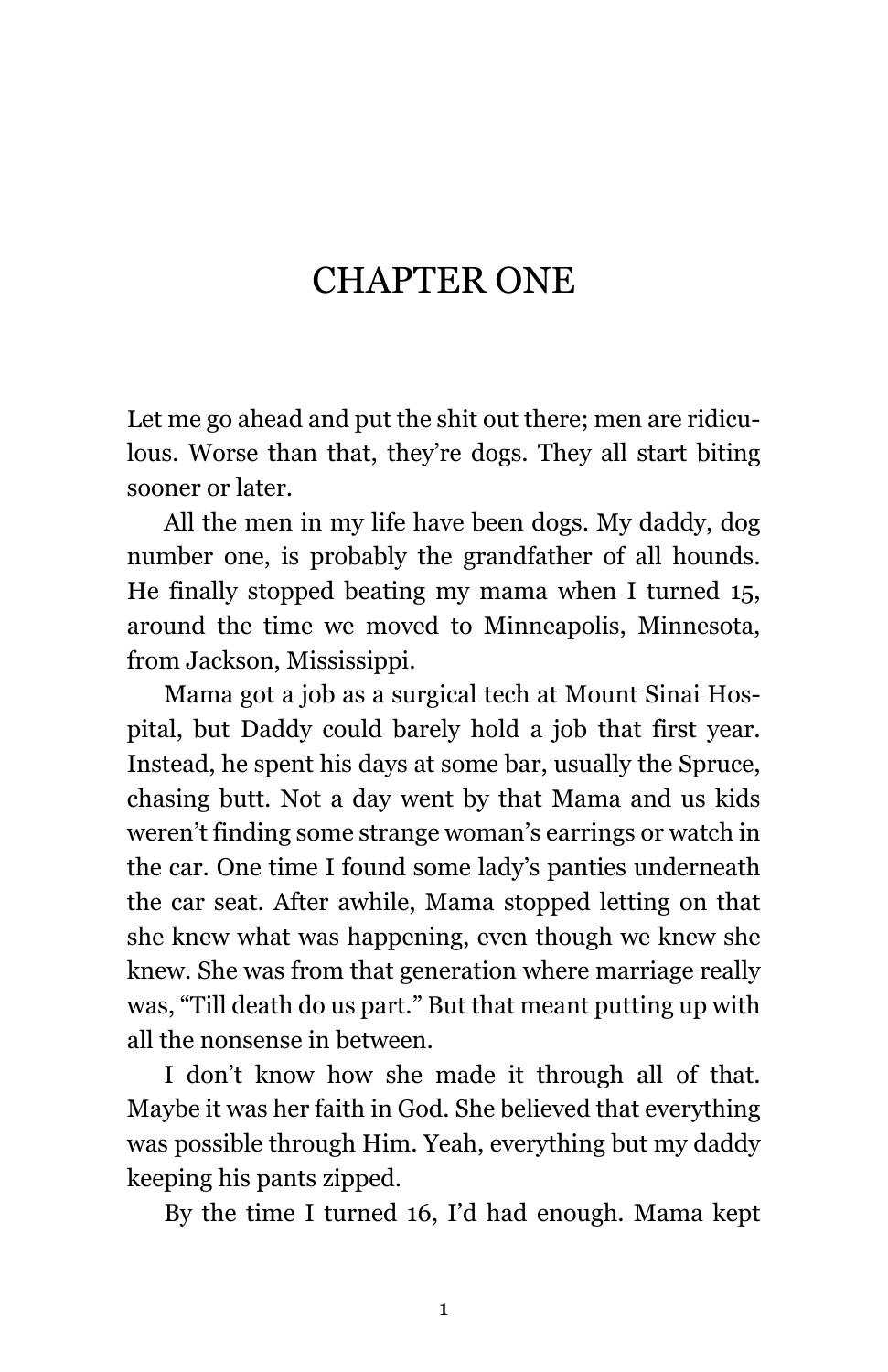# CHAPTER ONE

Let me go ahead and put the shit out there; men are ridiculous. Worse than that, they're dogs. They all start biting sooner or later.

All the men in my life have been dogs. My daddy, dog number one, is probably the grandfather of all hounds. He finally stopped beating my mama when I turned 15, around the time we moved to Minneapolis, Minnesota, from Jackson, Mississippi.

Mama got a job as a surgical tech at Mount Sinai Hospital, but Daddy could barely hold a job that first year. Instead, he spent his days at some bar, usually the Spruce, chasing butt. Not a day went by that Mama and us kids weren't finding some strange woman's earrings or watch in the car. One time I found some lady's panties underneath the car seat. After awhile, Mama stopped letting on that she knew what was happening, even though we knew she knew. She was from that generation where marriage really was, "Till death do us part." But that meant putting up with all the nonsense in between.

I don't know how she made it through all of that. Maybe it was her faith in God. She believed that everything was possible through Him. Yeah, everything but my daddy keeping his pants zipped.

By the time I turned 16, I'd had enough. Mama kept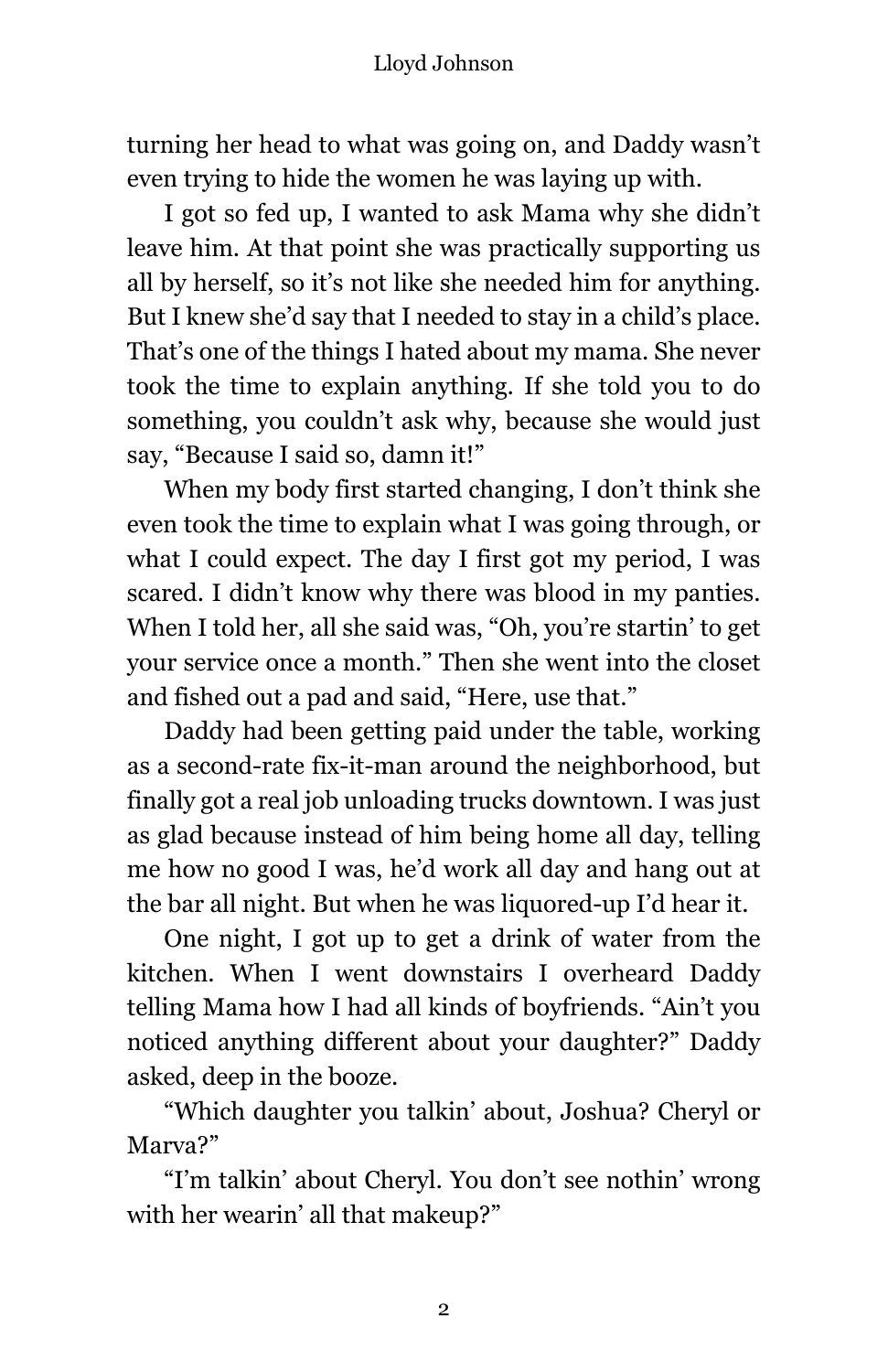turning her head to what was going on, and Daddy wasn't even trying to hide the women he was laying up with.

I got so fed up, I wanted to ask Mama why she didn't leave him. At that point she was practically supporting us all by herself, so it's not like she needed him for anything. But I knew she'd say that I needed to stay in a child's place. That's one of the things I hated about my mama. She never took the time to explain anything. If she told you to do something, you couldn't ask why, because she would just say, "Because I said so, damn it!"

When my body first started changing, I don't think she even took the time to explain what I was going through, or what I could expect. The day I first got my period, I was scared. I didn't know why there was blood in my panties. When I told her, all she said was, "Oh, you're startin' to get your service once a month." Then she went into the closet and fished out a pad and said, "Here, use that."

Daddy had been getting paid under the table, working as a second-rate fix-it-man around the neighborhood, but finally got a real job unloading trucks downtown. I was just as glad because instead of him being home all day, telling me how no good I was, he'd work all day and hang out at the bar all night. But when he was liquored-up I'd hear it.

One night, I got up to get a drink of water from the kitchen. When I went downstairs I overheard Daddy telling Mama how I had all kinds of boyfriends. "Ain't you noticed anything different about your daughter?" Daddy asked, deep in the booze.

"Which daughter you talkin' about, Joshua? Cheryl or Marva?"

"I'm talkin' about Cheryl. You don't see nothin' wrong with her wearin' all that makeup?"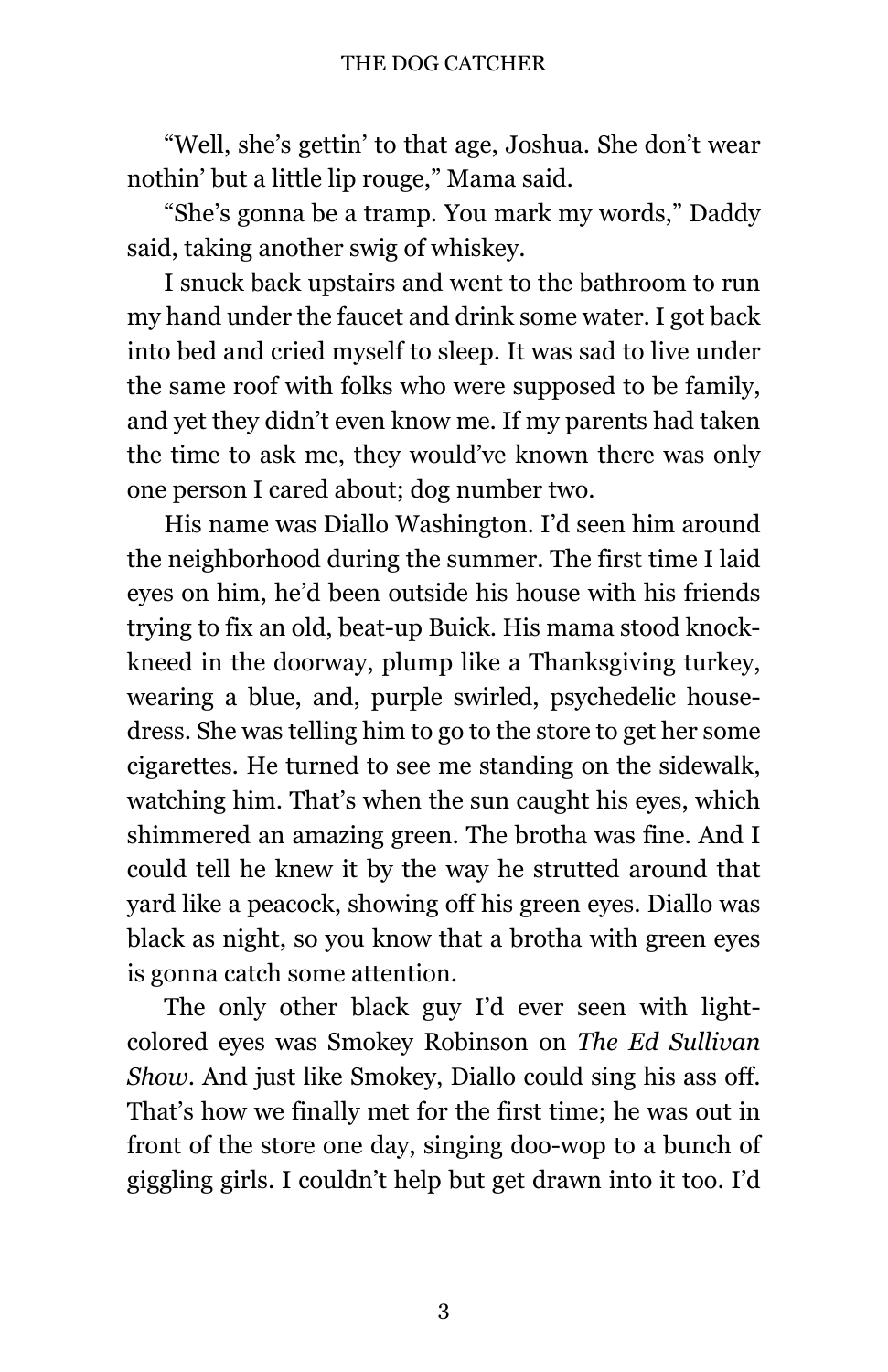"Well, she's gettin' to that age, Joshua. She don't wear nothin' but a little lip rouge," Mama said.

"She's gonna be a tramp. You mark my words," Daddy said, taking another swig of whiskey.

I snuck back upstairs and went to the bathroom to run my hand under the faucet and drink some water. I got back into bed and cried myself to sleep. It was sad to live under the same roof with folks who were supposed to be family, and yet they didn't even know me. If my parents had taken the time to ask me, they would've known there was only one person I cared about; dog number two.

His name was Diallo Washington. I'd seen him around the neighborhood during the summer. The first time I laid eyes on him, he'd been outside his house with his friends trying to fix an old, beat-up Buick. His mama stood knockkneed in the doorway, plump like a Thanksgiving turkey, wearing a blue, and, purple swirled, psychedelic housedress. She was telling him to go to the store to get her some cigarettes. He turned to see me standing on the sidewalk, watching him. That's when the sun caught his eyes, which shimmered an amazing green. The brotha was fine. And I could tell he knew it by the way he strutted around that yard like a peacock, showing off his green eyes. Diallo was black as night, so you know that a brotha with green eyes is gonna catch some attention.

The only other black guy I'd ever seen with lightcolored eyes was Smokey Robinson on *The Ed Sullivan Show*. And just like Smokey, Diallo could sing his ass off. That's how we finally met for the first time; he was out in front of the store one day, singing doo-wop to a bunch of giggling girls. I couldn't help but get drawn into it too. I'd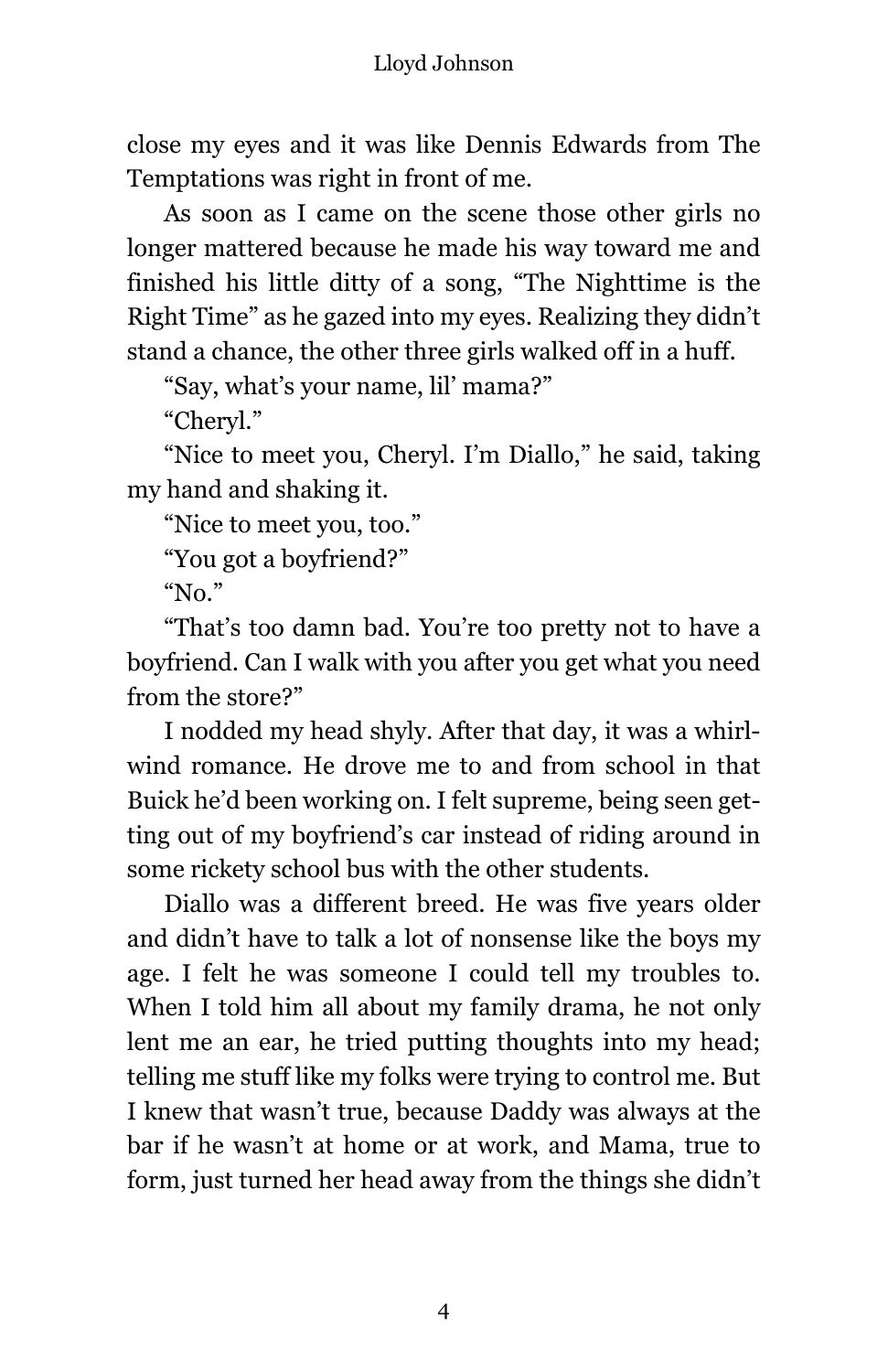close my eyes and it was like Dennis Edwards from The Temptations was right in front of me.

As soon as I came on the scene those other girls no longer mattered because he made his way toward me and finished his little ditty of a song, "The Nighttime is the Right Time" as he gazed into my eyes. Realizing they didn't stand a chance, the other three girls walked off in a huff.

"Say, what's your name, lil' mama?"

"Cheryl."

"Nice to meet you, Cheryl. I'm Diallo," he said, taking my hand and shaking it.

"Nice to meet you, too."

"You got a boyfriend?"

"No."

"That's too damn bad. You're too pretty not to have a boyfriend. Can I walk with you after you get what you need from the store?"

I nodded my head shyly. After that day, it was a whirlwind romance. He drove me to and from school in that Buick he'd been working on. I felt supreme, being seen getting out of my boyfriend's car instead of riding around in some rickety school bus with the other students.

Diallo was a different breed. He was five years older and didn't have to talk a lot of nonsense like the boys my age. I felt he was someone I could tell my troubles to. When I told him all about my family drama, he not only lent me an ear, he tried putting thoughts into my head; telling me stuff like my folks were trying to control me. But I knew that wasn't true, because Daddy was always at the bar if he wasn't at home or at work, and Mama, true to form, just turned her head away from the things she didn't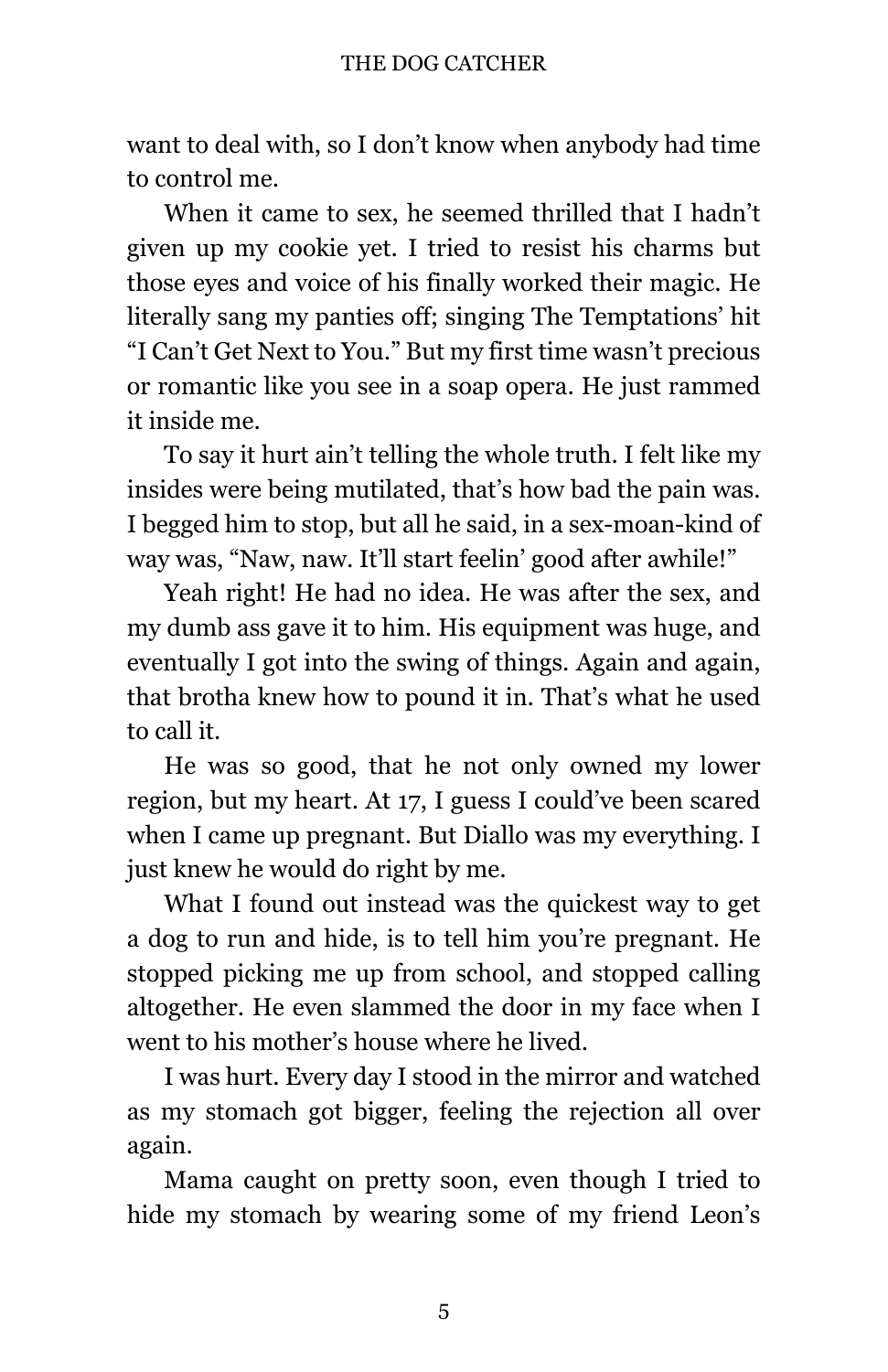want to deal with, so I don't know when anybody had time to control me.

When it came to sex, he seemed thrilled that I hadn't given up my cookie yet. I tried to resist his charms but those eyes and voice of his finally worked their magic. He literally sang my panties off; singing The Temptations' hit "I Can't Get Next to You." But my first time wasn't precious or romantic like you see in a soap opera. He just rammed it inside me.

To say it hurt ain't telling the whole truth. I felt like my insides were being mutilated, that's how bad the pain was. I begged him to stop, but all he said, in a sex-moan-kind of way was, "Naw, naw. It'll start feelin' good after awhile!"

Yeah right! He had no idea. He was after the sex, and my dumb ass gave it to him. His equipment was huge, and eventually I got into the swing of things. Again and again, that brotha knew how to pound it in. That's what he used to call it.

He was so good, that he not only owned my lower region, but my heart. At 17, I guess I could've been scared when I came up pregnant. But Diallo was my everything. I just knew he would do right by me.

What I found out instead was the quickest way to get a dog to run and hide, is to tell him you're pregnant. He stopped picking me up from school, and stopped calling altogether. He even slammed the door in my face when I went to his mother's house where he lived.

I was hurt. Every day I stood in the mirror and watched as my stomach got bigger, feeling the rejection all over again.

Mama caught on pretty soon, even though I tried to hide my stomach by wearing some of my friend Leon's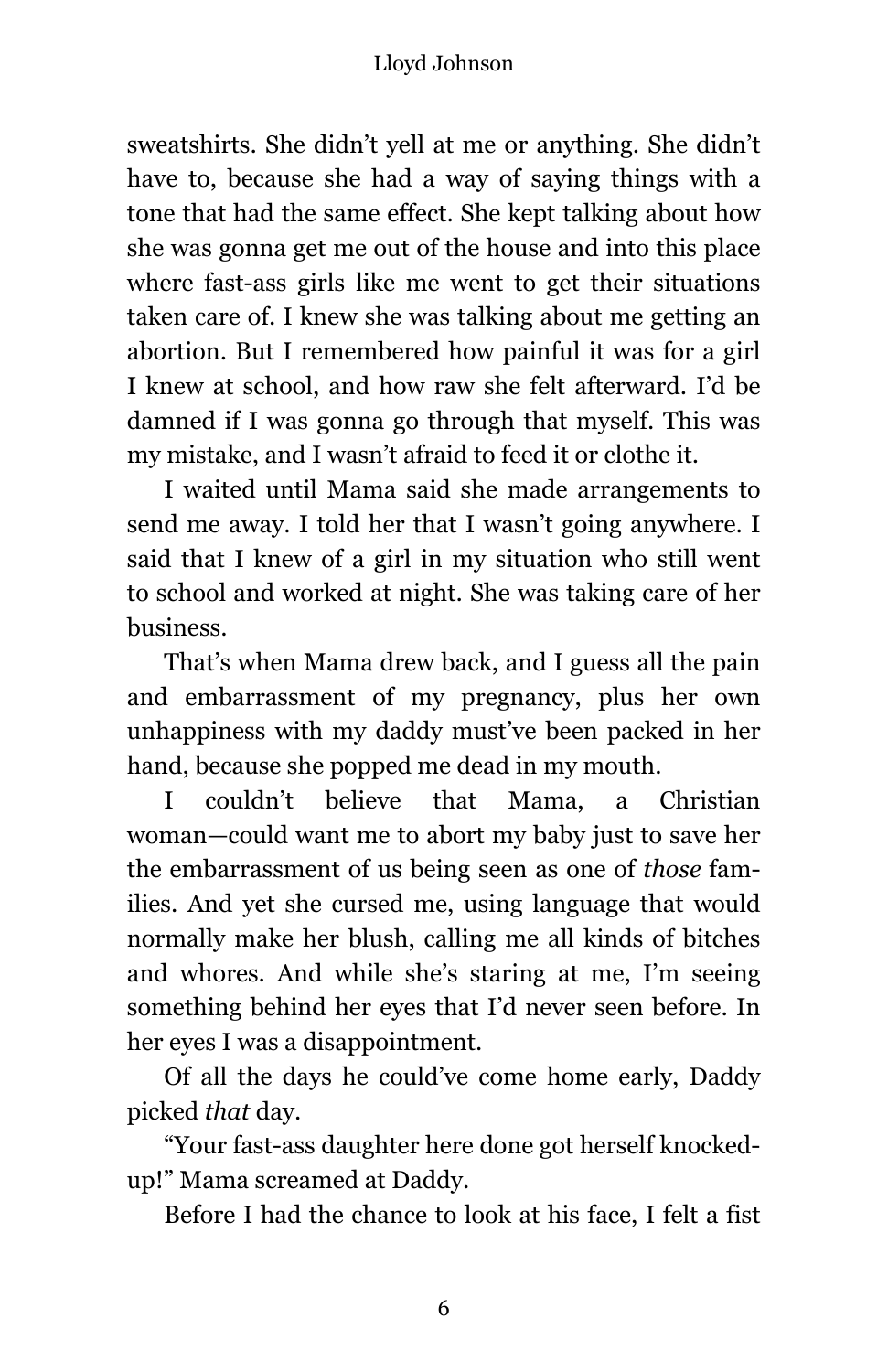sweatshirts. She didn't yell at me or anything. She didn't have to, because she had a way of saying things with a tone that had the same effect. She kept talking about how she was gonna get me out of the house and into this place where fast-ass girls like me went to get their situations taken care of. I knew she was talking about me getting an abortion. But I remembered how painful it was for a girl I knew at school, and how raw she felt afterward. I'd be damned if I was gonna go through that myself. This was my mistake, and I wasn't afraid to feed it or clothe it.

I waited until Mama said she made arrangements to send me away. I told her that I wasn't going anywhere. I said that I knew of a girl in my situation who still went to school and worked at night. She was taking care of her business.

That's when Mama drew back, and I guess all the pain and embarrassment of my pregnancy, plus her own unhappiness with my daddy must've been packed in her hand, because she popped me dead in my mouth.

I couldn't believe that Mama, a Christian woman—could want me to abort my baby just to save her the embarrassment of us being seen as one of *those* families. And yet she cursed me, using language that would normally make her blush, calling me all kinds of bitches and whores. And while she's staring at me, I'm seeing something behind her eyes that I'd never seen before. In her eyes I was a disappointment.

Of all the days he could've come home early, Daddy picked *that* day.

"Your fast-ass daughter here done got herself knockedup!" Mama screamed at Daddy.

Before I had the chance to look at his face, I felt a fist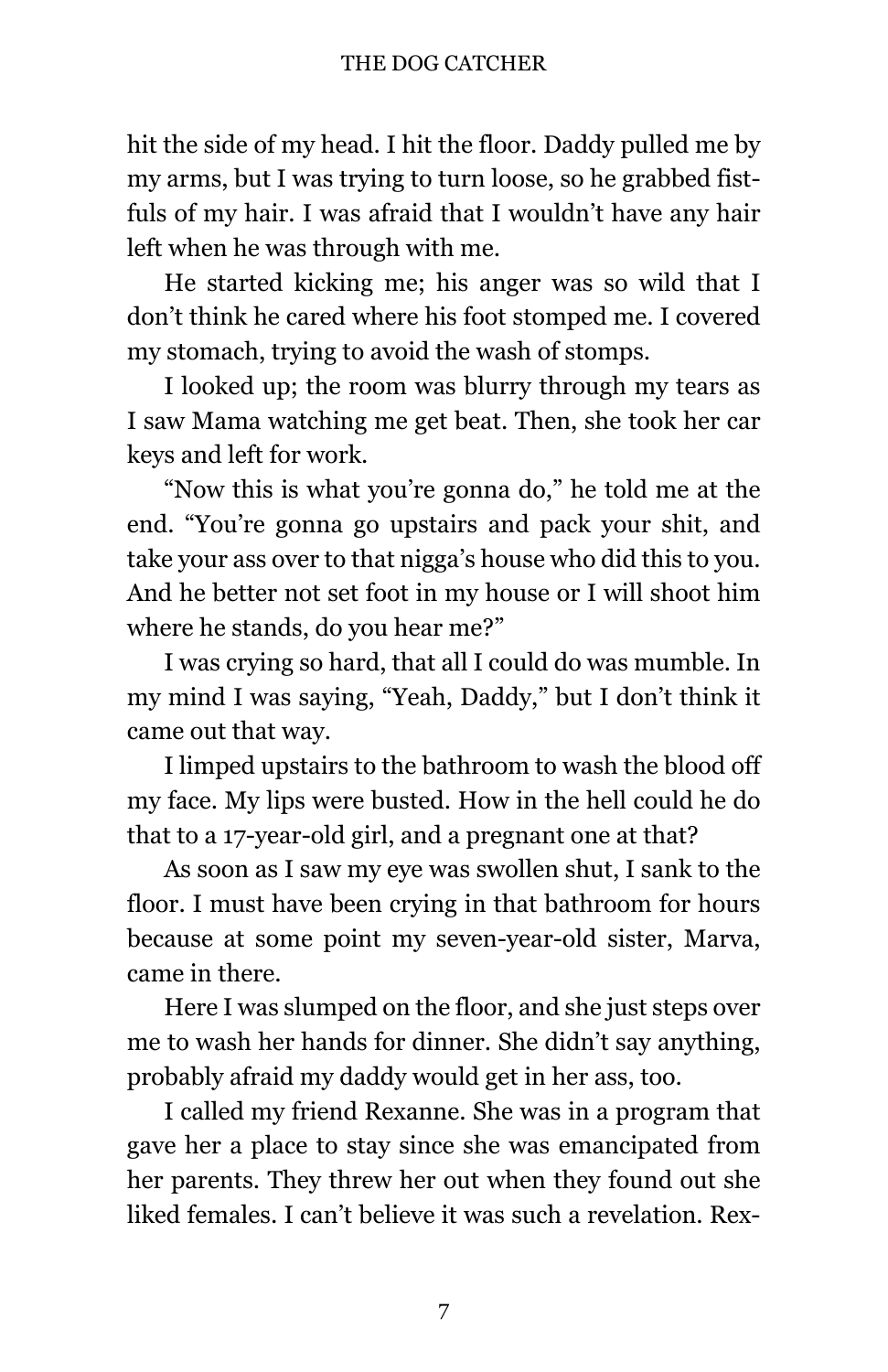hit the side of my head. I hit the floor. Daddy pulled me by my arms, but I was trying to turn loose, so he grabbed fistfuls of my hair. I was afraid that I wouldn't have any hair left when he was through with me.

He started kicking me; his anger was so wild that I don't think he cared where his foot stomped me. I covered my stomach, trying to avoid the wash of stomps.

I looked up; the room was blurry through my tears as I saw Mama watching me get beat. Then, she took her car keys and left for work.

"Now this is what you're gonna do," he told me at the end. "You're gonna go upstairs and pack your shit, and take your ass over to that nigga's house who did this to you. And he better not set foot in my house or I will shoot him where he stands, do you hear me?"

I was crying so hard, that all I could do was mumble. In my mind I was saying, "Yeah, Daddy," but I don't think it came out that way.

I limped upstairs to the bathroom to wash the blood off my face. My lips were busted. How in the hell could he do that to a 17-year-old girl, and a pregnant one at that?

As soon as I saw my eye was swollen shut, I sank to the floor. I must have been crying in that bathroom for hours because at some point my seven-year-old sister, Marva, came in there.

Here I was slumped on the floor, and she just steps over me to wash her hands for dinner. She didn't say anything, probably afraid my daddy would get in her ass, too.

I called my friend Rexanne. She was in a program that gave her a place to stay since she was emancipated from her parents. They threw her out when they found out she liked females. I can't believe it was such a revelation. Rex-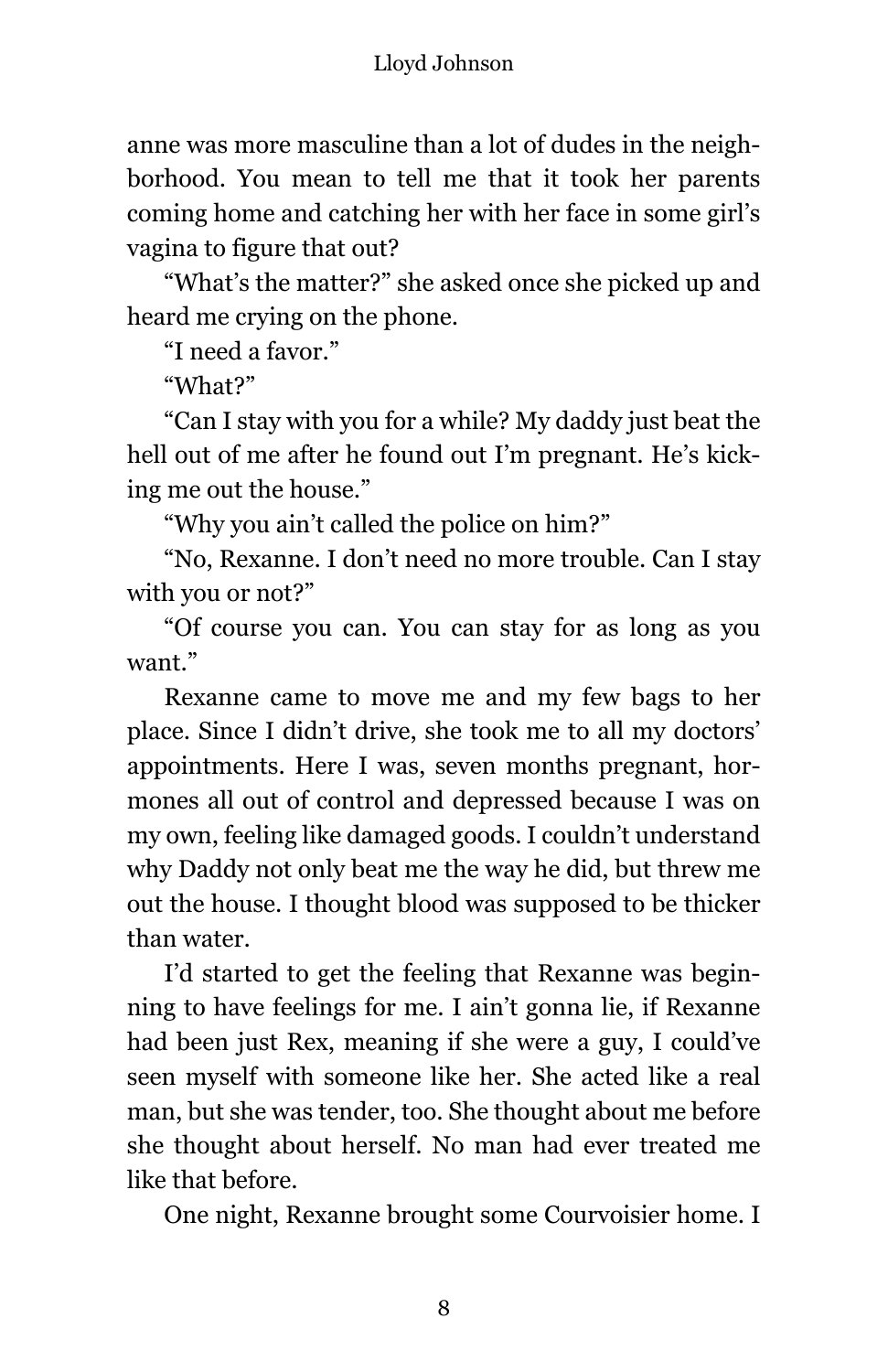anne was more masculine than a lot of dudes in the neighborhood. You mean to tell me that it took her parents coming home and catching her with her face in some girl's vagina to figure that out?

"What's the matter?" she asked once she picked up and heard me crying on the phone.

"I need a favor."

"What?"

"Can I stay with you for a while? My daddy just beat the hell out of me after he found out I'm pregnant. He's kicking me out the house."

"Why you ain't called the police on him?"

"No, Rexanne. I don't need no more trouble. Can I stay with you or not?"

"Of course you can. You can stay for as long as you want."

Rexanne came to move me and my few bags to her place. Since I didn't drive, she took me to all my doctors' appointments. Here I was, seven months pregnant, hormones all out of control and depressed because I was on my own, feeling like damaged goods. I couldn't understand why Daddy not only beat me the way he did, but threw me out the house. I thought blood was supposed to be thicker than water.

I'd started to get the feeling that Rexanne was beginning to have feelings for me. I ain't gonna lie, if Rexanne had been just Rex, meaning if she were a guy, I could've seen myself with someone like her. She acted like a real man, but she was tender, too. She thought about me before she thought about herself. No man had ever treated me like that before.

One night, Rexanne brought some Courvoisier home. I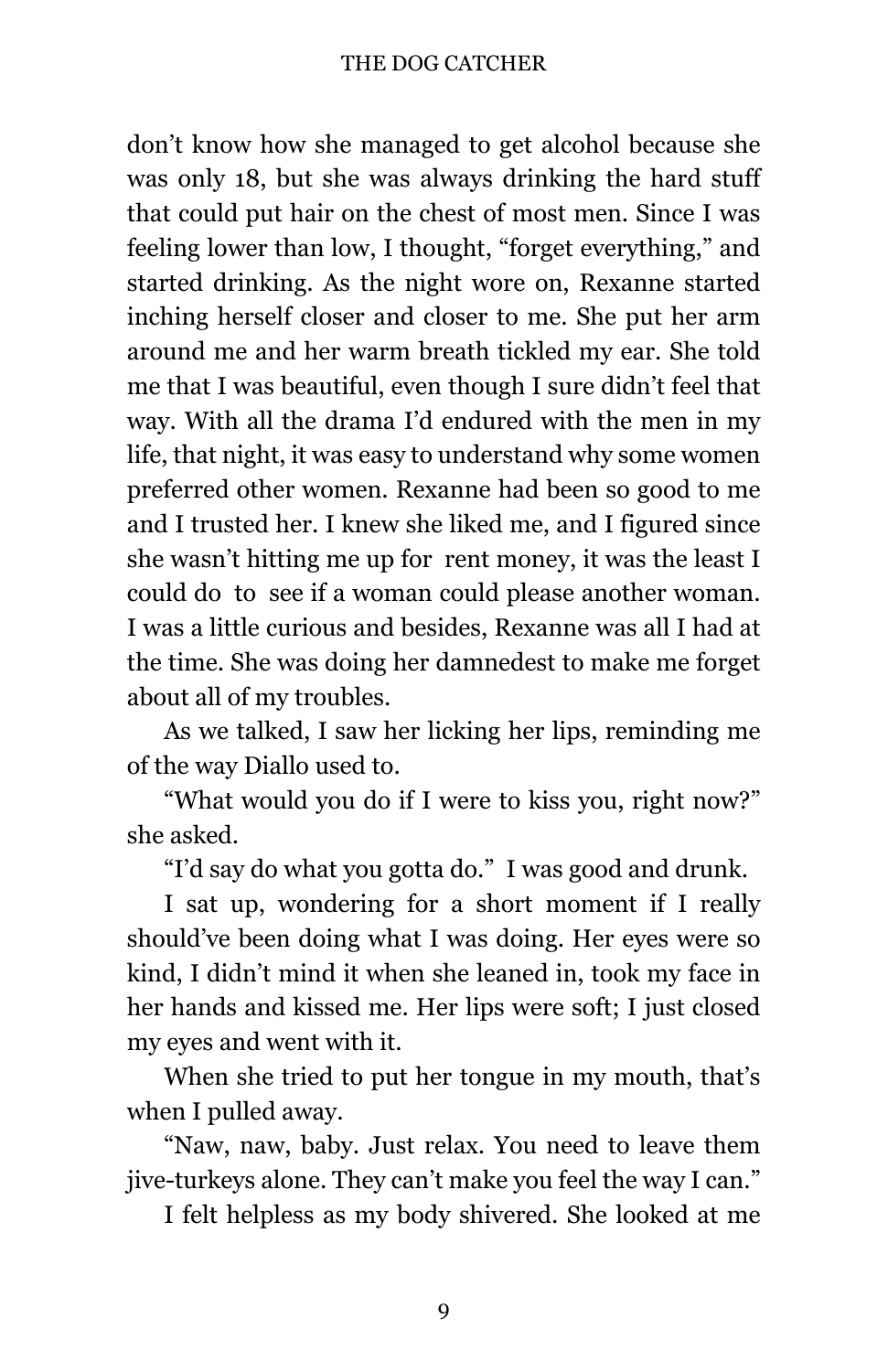don't know how she managed to get alcohol because she was only 18, but she was always drinking the hard stuff that could put hair on the chest of most men. Since I was feeling lower than low, I thought, "forget everything," and started drinking. As the night wore on, Rexanne started inching herself closer and closer to me. She put her arm around me and her warm breath tickled my ear. She told me that I was beautiful, even though I sure didn't feel that way. With all the drama I'd endured with the men in my life, that night, it was easy to understand why some women preferred other women. Rexanne had been so good to me and I trusted her. I knew she liked me, and I figured since she wasn't hitting me up for rent money, it was the least I could do to see if a woman could please another woman. I was a little curious and besides, Rexanne was all I had at the time. She was doing her damnedest to make me forget about all of my troubles.

As we talked, I saw her licking her lips, reminding me of the way Diallo used to.

"What would you do if I were to kiss you, right now?" she asked.

"I'd say do what you gotta do." I was good and drunk.

I sat up, wondering for a short moment if I really should've been doing what I was doing. Her eyes were so kind, I didn't mind it when she leaned in, took my face in her hands and kissed me. Her lips were soft; I just closed my eyes and went with it.

When she tried to put her tongue in my mouth, that's when I pulled away.

"Naw, naw, baby. Just relax. You need to leave them jive-turkeys alone. They can't make you feel the way I can."

I felt helpless as my body shivered. She looked at me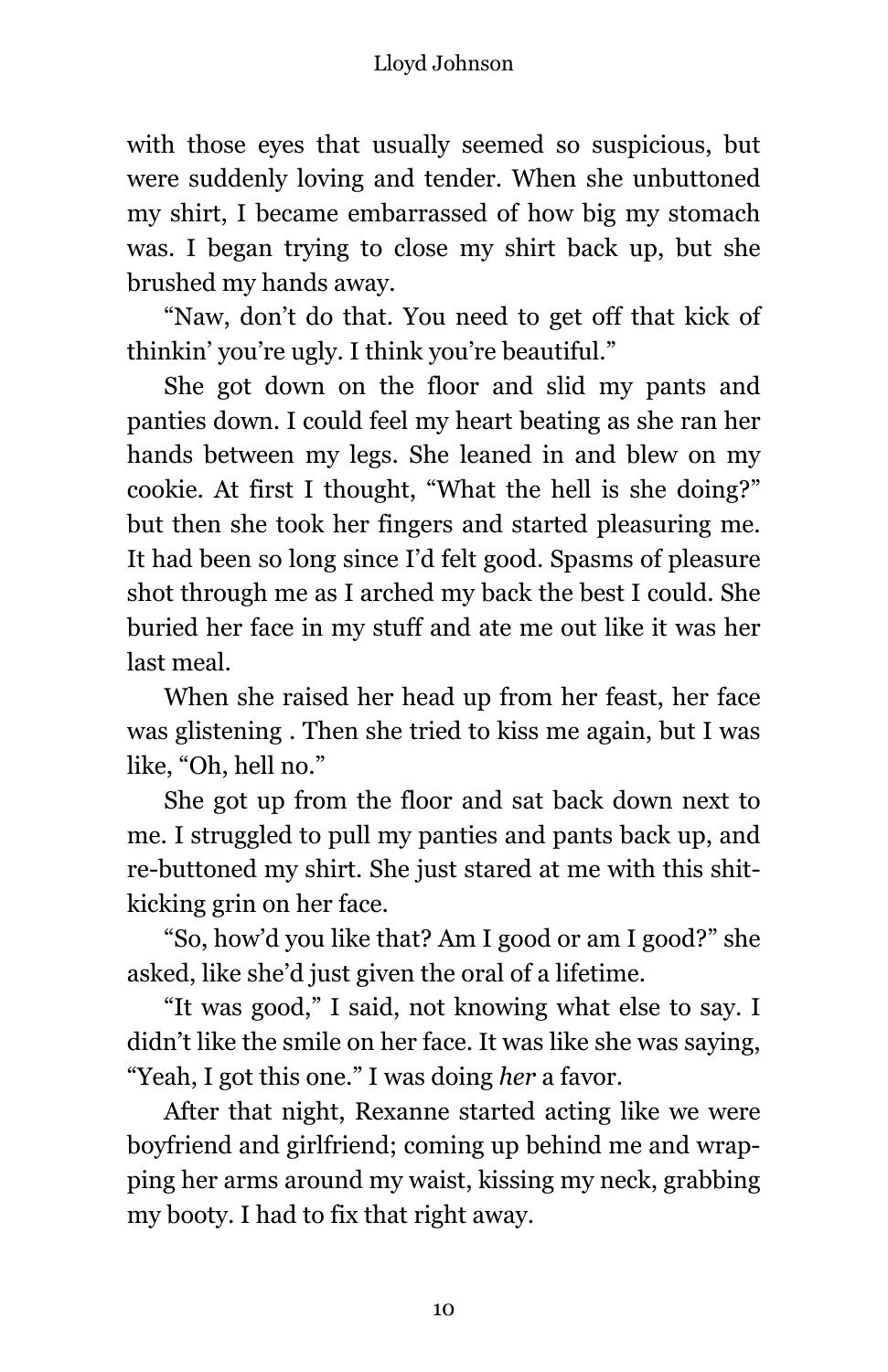with those eyes that usually seemed so suspicious, but were suddenly loving and tender. When she unbuttoned my shirt, I became embarrassed of how big my stomach was. I began trying to close my shirt back up, but she brushed my hands away.

"Naw, don't do that. You need to get off that kick of thinkin' you're ugly. I think you're beautiful."

She got down on the floor and slid my pants and panties down. I could feel my heart beating as she ran her hands between my legs. She leaned in and blew on my cookie. At first I thought, "What the hell is she doing?" but then she took her fingers and started pleasuring me. It had been so long since I'd felt good. Spasms of pleasure shot through me as I arched my back the best I could. She buried her face in my stuff and ate me out like it was her last meal.

When she raised her head up from her feast, her face was glistening . Then she tried to kiss me again, but I was like, "Oh, hell no."

She got up from the floor and sat back down next to me. I struggled to pull my panties and pants back up, and re-buttoned my shirt. She just stared at me with this shitkicking grin on her face.

"So, how'd you like that? Am I good or am I good?" she asked, like she'd just given the oral of a lifetime.

"It was good," I said, not knowing what else to say. I didn't like the smile on her face. It was like she was saying, "Yeah, I got this one." I was doing *her* a favor.

After that night, Rexanne started acting like we were boyfriend and girlfriend; coming up behind me and wrapping her arms around my waist, kissing my neck, grabbing my booty. I had to fix that right away.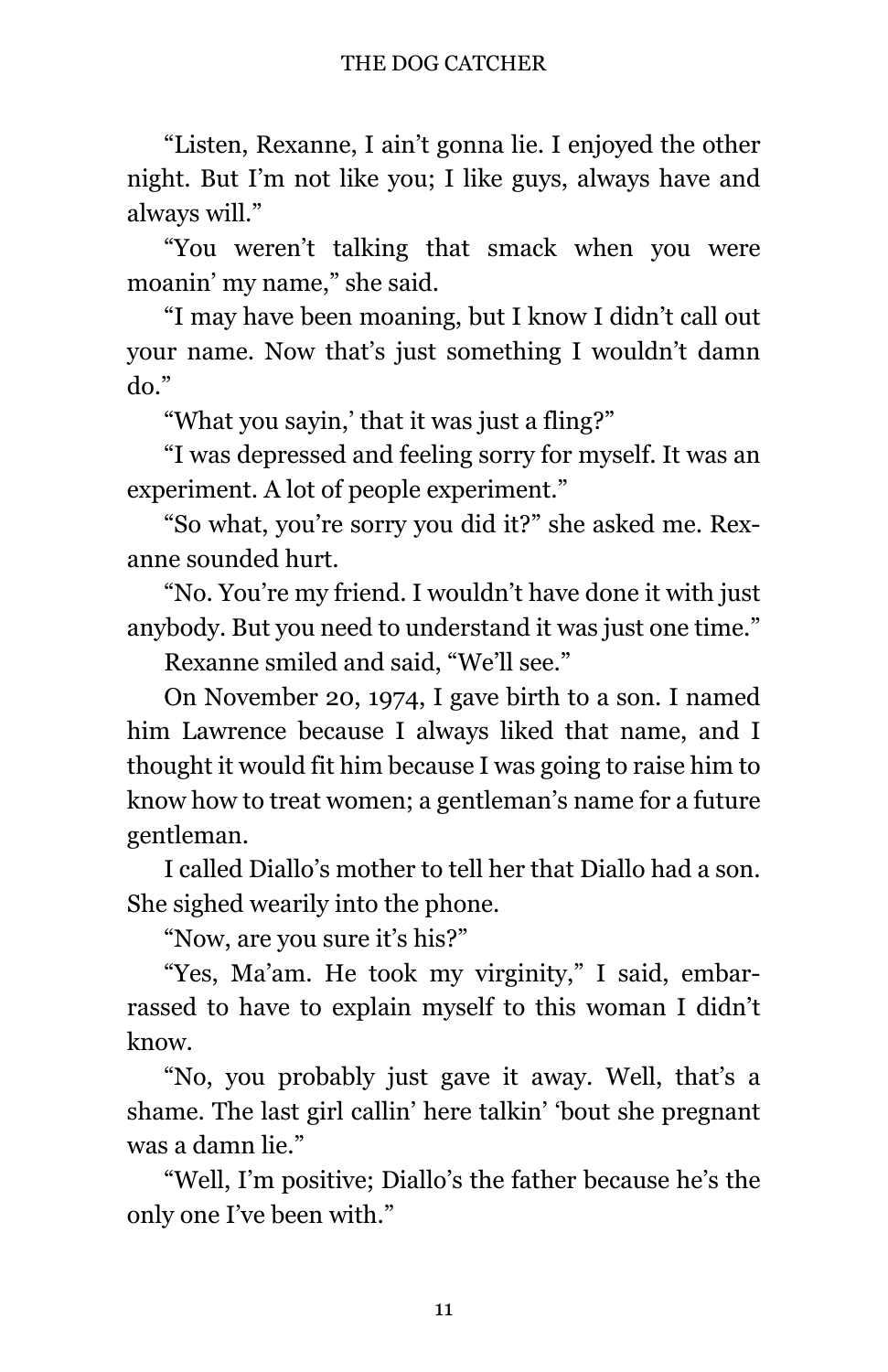"Listen, Rexanne, I ain't gonna lie. I enjoyed the other night. But I'm not like you; I like guys, always have and always will."

"You weren't talking that smack when you were moanin' my name," she said.

"I may have been moaning, but I know I didn't call out your name. Now that's just something I wouldn't damn do."

"What you sayin,' that it was just a fling?"

"I was depressed and feeling sorry for myself. It was an experiment. A lot of people experiment."

"So what, you're sorry you did it?" she asked me. Rexanne sounded hurt.

"No. You're my friend. I wouldn't have done it with just anybody. But you need to understand it was just one time."

Rexanne smiled and said, "We'll see."

On November 20, 1974, I gave birth to a son. I named him Lawrence because I always liked that name, and I thought it would fit him because I was going to raise him to know how to treat women; a gentleman's name for a future gentleman.

I called Diallo's mother to tell her that Diallo had a son. She sighed wearily into the phone.

"Now, are you sure it's his?"

"Yes, Ma'am. He took my virginity," I said, embarrassed to have to explain myself to this woman I didn't know.

"No, you probably just gave it away. Well, that's a shame. The last girl callin' here talkin' 'bout she pregnant was a damn lie."

"Well, I'm positive; Diallo's the father because he's the only one I've been with."